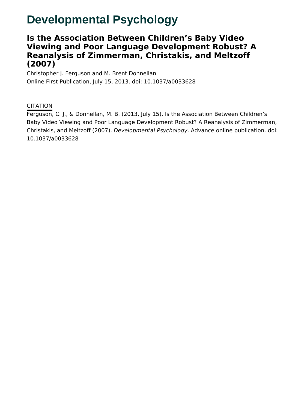# **Developmental Psychology**

# **Is the Association Between Children's Baby Video Viewing and Poor Language Development Robust? A Reanalysis of Zimmerman, Christakis, and Meltzoff (2007)**

Christopher J. Ferguson and M. Brent Donnellan Online First Publication, July 15, 2013. doi: 10.1037/a0033628

### CITATION

Ferguson, C. J., & Donnellan, M. B. (2013, July 15). Is the Association Between Children's Baby Video Viewing and Poor Language Development Robust? A Reanalysis of Zimmerman, Christakis, and Meltzoff (2007). Developmental Psychology. Advance online publication. doi: 10.1037/a0033628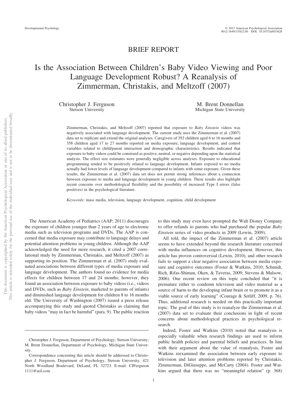### BRIEF REPORT

## Is the Association Between Children's Baby Video Viewing and Poor Language Development Robust? A Reanalysis of Zimmerman, Christakis, and Meltzoff (2007)

Christopher J. Ferguson Stetson University

M. Brent Donnellan Michigan State University

Zimmerman, Christakis, and Meltzoff (2007) reported that exposure to *Baby Einstein* videos was negatively associated with language development. The current study uses the Zimmerman et al. (2007) data set to replicate and extend the original analyses. Caregivers of 392 children aged 6 to 16 months and 358 children aged 17 to 27 months reported on media exposure, language development, and control variables related to child/parent interaction and demographic characteristics. Results indicated that exposure to baby videos could be construed as positive, neutral, or negative depending upon the statistical analysis. The effect size estimates were generally negligible across analyses. Exposure to educational programming tended to be positively related to language development. Infants exposed to no media actually had lower levels of language development compared to infants with some exposure. Given these results, the Zimmerman et al. (2007) data set does not permit strong inferences about a connection between exposure to media and language development in young children. These results also highlight recent concerns over methodological flexibility and the possibility of increased Type I errors (false positives) in the psychological literature.

*Keywords:* mass media, television, language development, cognition, child development

The American Academy of Pediatrics (AAP; 2011) discourages the exposure of children younger than 2 years of age to electronic media such as television programs and DVDs. The AAP is concerned that media exposure may contribute to language delays and potential attention problems in young children. Although the AAP acknowledged the need for more research, it cited a 2007 correlational study by Zimmerman, Christakis, and Meltzoff (2007) as supporting its position. The Zimmerman et al. (2007) study evaluated associations between different types of media exposure and language development. The authors found no evidence for media effects for children between 17 and 24 months; however, they found an association between exposure to baby videos (i.e., videos and DVDs, such as *Baby Einstein*, marketed to parents of infants) and diminished language development for children 8 to 16 months old. The University of Washington (2007) issued a press release accompanying this study and quoted Christakis as claiming that baby videos "may in fact be harmful" (para. 9). The public reaction to this study may even have prompted the Walt Disney Company to offer refunds to parents who had purchased the popular *Baby Einstein* series of video products in 2009 (Lewin, 2009).

All told, the impact of the Zimmerman et al. (2007) article seems to have extended beyond the research literature concerned with media influences on cognitive development. However, this article has proven controversial (Lewin, 2010), and other research fails to support a clear negative association between media exposure and cognitive outcomes (Foster & Watkins, 2010; Schmidt, Rich, Rifas-Shiman, Oken, & Taveras, 2009; Stevens & Mulsow, 2006). One recent review on this topic concluded that "it is premature either to condemn television and video material as a source of harm to the developing infant brain or to promote it as a viable source of early learning" (Courage & Setliff, 2009, p. 76). Thus, additional research is needed on this practically important topic. The goal of this study is to reanalyze the Zimmerman et al. (2007) data set to evaluate their conclusions in light of recent concerns about methodological practices in psychological research.

Indeed, Foster and Watkins (2010) noted that reanalysis is especially valuable when research findings are used to inform public health policies and parental beliefs and practices. In line with their argument about the value of reanalysis, Foster and Watkins reexamined the association between early exposure to television and later attention problems reported by Christakis, Zimmerman, DiGiuseppe, and McCarty (2004). Foster and Watkins argued that there was no "meaningful relation" (p. 368)

Christopher J. Ferguson, Department of Psychology, Stetson University; M. Brent Donnellan, Department of Psychology, Michigan State University.

Correspondence concerning this article should be addressed to Christopher J. Ferguson, Department of Psychology, Stetson University, 421 North Woodland Boulevard, DeLand, FL 32723. E-mail: CJFerguson 1111@aol.com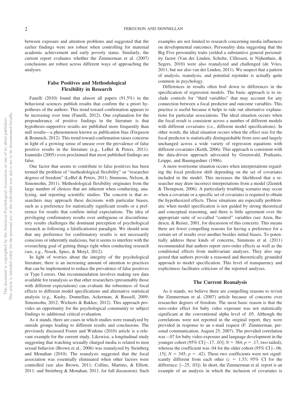between exposure and attention problems and suggested that the earlier findings were not robust when controlling for maternal academic achievement and early poverty status. Similarly, the current report evaluates whether the Zimmerman et al. (2007) conclusions are robust across different ways of approaching the analyses.

#### **False Positives and Methodological Flexibility in Research**

Fanelli (2010) found that almost all papers (91.5%) in the behavioral sciences publish results that confirm the a priori hypotheses of the authors. This trend toward confirmation appears to be increasing over time (Fanelli, 2012). One explanation for the preponderance of positive findings in the literature is that hypothesis-supportive results are published more frequently than null results—a phenomenon known as publication bias (Ferguson & Brannick, 2012). This trend toward confirmation raises concerns in light of a growing sense of unease over the prevalence of false positive results in the literature (e.g., LeBel & Peters, 2011). Ioannidis (2005) even proclaimed that most published findings are false.

One factor that seems to contribute to false positives has been termed the problem of "methodological flexibility" or "researcher degrees of freedom" (LeBel & Peters, 2011; Simmons, Nelson, & Simonsohn, 2011). Methodological flexibility originates from the large number of choices that are inherent when conducting, analyzing, and reporting scientific studies. The concern is that researchers may approach these decisions with particular biases, such as a preference for statistically significant results or a preference for results that confirm initial expectations. The idea of privileging confirmatory results over ambiguous or disconfirmatory results challenges the dominant perception of psychological research as following a falsificationist paradigm. We should note that any preference for confirmatory results is not necessarily conscious or inherently malicious, but it seems to interfere with the overarching goal of getting things right when conducting research (see, e.g., Nosek, Spies, & Motyl, 2012).

In light of worries about the integrity of the psychological literature, there is an increasing amount of attention to practices that can be implemented to reduce the prevalence of false positives or Type I errors. One recommendation involves making raw data available for reanalysis so that other researchers (presumably those with different expectations) can evaluate the robustness of focal effects to different model specifications and alternative statistical analysis (e.g., Kashy, Donnellan, Ackerman, & Russell, 2009; Simonsohn, 2012; Wicherts & Bakker, 2012). This approach provides an opportunity for the psychological community to subject findings to additional critical evaluation.

As it stands, there are cases in which studies were reanalyzed by outside groups leading to different results and conclusions. The previously discussed Foster and Watkins (2010) article is a relevant example for the current study. Likewise, a longitudinal study suggesting that watching sexually charged media is related to teen sexual behavior (Brown et al., 2006) was reanalyzed by Steinberg and Monahan (2010). The reanalysis suggested that the focal association was essentially eliminated when other factors were controlled (see also Brown, 2011; Collins, Martino, & Elliott, 2011; and Steinberg & Monahan, 2011, for full discussion). Such

examples are not limited to research concerning media influences on developmental outcomes. Personality data suggesting that the Big Five personality traits yielded a substantive general personality factor (Van der Linden, Scholte, Cillessen, te Nijhenhuis, & Segers, 2010) were also reanalyzed and challenged (de Vries, 2011; but see also van der Linden, 2011). We suspect that a pattern of analysis, reanalysis, and potential rejoinder is actually quite common in psychology.

Differences in results often boil down to differences in the specification of regression models. The basic approach is to include controls for "third variables" that may account for any connection between a focal predictor and outcome variables. This practice is useful because it helps to rule out alternative explanations for particular associations. The ideal situation occurs when the focal result is consistent across a number of different models with different covariates (i.e., different model specifications). In other words, the ideal situation occurs when the effect size for the focal predictor is statistically distinguishable from zero and largely unchanged across a wide variety of regression equations with different covariates (Keith, 2006). This approach is consistent with the data-driven approach advocated by Greenwald, Pratkanis, Leippe, and Baumgardner (1986).

A more worrisome situation occurs when interpretations regarding the focal predictor shift depending on the set of covariates included in the model. This increases the likelihood that a researcher may draw incorrect interpretations from a model (Zientek & Thompson, 2006). A particularly troubling scenario may occur when a covariate or a specific set of covariates is required to obtain the hypothesized effects. These situations are especially problematic when model specification is not guided by strong theoretical and conceptual reasoning, and there is little agreement over the appropriate suite of so-called "control" variables (see Azen, Budescu, & Reiser, 2001, for discussion of this concern). This means there are fewer compelling reasons for having a preference for a certain set of results over another besides initial biases. To potentially address these kinds of concerns, Simmons et al. (2011) recommended that authors report zero-order effects as well as the conditional effects from multivariate analyses. They also suggested that authors provide a reasoned and theoretically grounded approach to model specification. This level of transparency and explicitness facilitates criticism of the reported analyses.

#### **The Current Reanalysis**

As it stands, we believe there are compelling reasons to revisit the Zimmerman et al. (2007) article because of concerns over researcher degrees of freedom. The most basic reason is that the zero-order effect for baby video exposure was not statistically significant at the conventional alpha level of .05. Although the correlations were not reported in the original report, they were provided in response to an e-mail request (F. Zimmerman, personal communication, August 25, 2007). The provided correlation was –.07 for baby video exposure and language development in the younger cohort (95% CI [-.17, .03];  $N = 384$ ;  $p = .17$ , two-tailed), whereas the coefficient was .04 for the older cohort (95% CI [–.06, .15];  $N = 345$ ;  $p = .42$ ). These two coefficients were not significantly different from each other  $(z = 1.53; 95\% \text{ CI for the})$ difference: [–.25, .03]). In short, the Zimmerman et al. report is an example of an analysis in which the inclusion of covariates is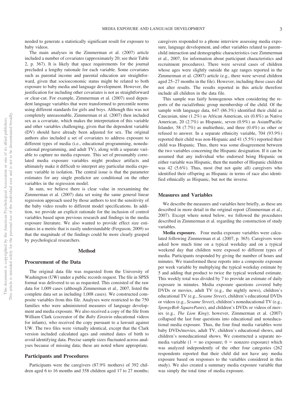needed to generate a statistically significant result for exposure to baby videos.

The main analyses in the Zimmerman et al. (2007) article included a number of covariates (approximately 20; see their Table 2, p. 367). It is likely that space requirements for the journal precluded a lengthy rationale for each variable. Some covariates such as parental income and parental education are straightforward, given that socioeconomic status might be related to both exposure to baby media and language development. However, the justification for including other covariates is not as straightforward or clear-cut. For example, Zimmerman et al. (2007) used dependent language variables that were transformed to percentile norms using different standards for girls and boys. Although this was not completely unreasonable, Zimmerman et al. (2007) then included sex as a covariate, which makes the interpretation of this variable and other variables challenging, given that the dependent variable (DV) should have already been adjusted for sex. The original authors also included a set of covariates to address exposure to different types of media (i.e., educational programming, noneducational programming, and adult TV), along with a separate variable to capture no media exposure. This set of presumably correlated media exposure variables might produce artifacts and ultimately make it difficult to interpret any particular media exposure variable in isolation. The central issue is that the parameter estimates for any single predictor are conditional on the other variables in the regression model.

In sum, we believe there is clear value in reexamining the Zimmerman et al. (2007) data set using the same general linear regression approach used by those authors to test the sensitivity of the baby video results to different model specifications. In addition, we provide an explicit rationale for the inclusion of control variables based upon previous research and findings in the media exposure literature. We also wanted to provide effect size estimates in a metric that is easily understandable (Ferguson, 2009) so that the magnitude of the findings could be more clearly grasped by psychological researchers.

#### **Method**

#### **Procurement of the Data**

The original data file was requested from the University of Washington (UW) under a public records request. The file in SPSS format was delivered to us as requested. This consisted of the raw data for 1,009 cases (although Zimmerman et al., 2007, listed the complete data set as including 1,008 cases). We constructed composite variables from this file. Analyses were restricted to the 750 families who were administered measures of language development and media exposure. We also received a copy of the file from William Clark (cocreator of the *Baby Einstein* educational videos for infants), who received the copy pursuant to a lawsuit against UW. The two files were virtually identical, except that the Clark version included calculated ages and omitted dates of birth to avoid identifying data. Precise sample sizes fluctuated across analyses because of missing data; these are noted where appropriate.

#### **Participants and Procedures**

Participants were the caregivers (87.9% mothers) of 392 children aged 6 to 16 months and 358 children aged 17 to 27 months; caregivers responded to a phone interview assessing media exposure, language development, and other variables related to parent– child interaction and demographic characteristics (see Zimmerman et al., 2007, for information about participant characteristics and recruitment procedures). There were several cases of children whose ages were slightly outside the age ranges reported in the Zimmerman et al. (2007) article (e.g., there were several children aged 25–27 months in the file). However, including these cases did not alter results. The results reported in this article therefore include all children in the data file.

This sample was fairly homogenous when considering the reports of the racial/ethnic group membership of the child. Of the sample with language data, 647 (86.3%) identified their child as Caucasian, nine (1.2%) as African American, six (0.8%) as Native American, 20 (2.7%) as Hispanic, seven (0.9%) as Asian/Pacific Islander, 58 (7.7%) as multiethnic, and three (0.4%) as other or refused to answer. In a separate ethnicity variable, 704 (93.9%) reported their child was non-Hispanic and 41 (5.5%) reported their child was Hispanic. Thus, there was some disagreement between the two variables concerning the Hispanic designation. If it can be assumed that any individual who endorsed being Hispanic on either variable was Hispanic, then the number of Hispanic children was 42 (5.6%). Thus, most (but not quite all) caregivers who identified their offspring as Hispanic in terms of race also identified ethnically as Hispanic, but not the inverse.

#### **Measures and Variables**

We describe the measures and variables here briefly, as these are described in more detail in the original report (Zimmerman et al., 2007). Except where noted below, we followed the procedures described in Zimmerman et al. regarding the construction of study variables.

**Media exposure.** Four media exposure variables were calculated following Zimmerman et al. (2007, p. 365). Caregivers were asked how much time on a typical weekday and on a typical weekend day that children were exposed to different types of media. Participants responded by giving the number of hours and minutes. We transformed these reports into a composite exposure per week variable by multiplying the typical weekday estimate by 5 and adding that product to twice the typical weekend estimate. This weekly total was divided by 7 to provide an estimate of daily exposure in minutes. Media exposure questions covered baby DVDs or movies, adult TV (e.g., the nightly news), children's educational TV (e.g., *Sesame Street*), children's educational DVDs or videos (e.g., *Sesame Street*), children's noneducational TV (e.g., *SpongeBob SquarePants*), and children's DVDs or videos of movies (e.g., *The Lion King*); however, Zimmerman et al. (2007) collapsed the last four questions into educational and noneducational media exposure. Thus, the four final media variables were baby DVDs/movies, adult TV, children's educational shows, and children's noneducational shows. We constructed a separate nomedia variable (1 = no exposure; 0 = nonzero exposure) which was analyzed independently of the other four categories (262 respondents reported that their child did not have any media exposure based on responses to the variables considered in this study). We also created a summary media exposure variable that was simply the total time of media exposure.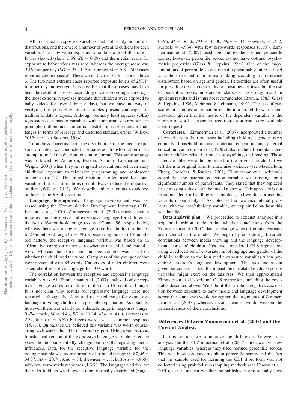All four media exposure variables had noticeably nonnormal distributions, and there were a number of potential outliers for each variable. The baby video exposure variable is a good illustration. It was skewed (skew: 5.58,  $SE = 0.09$ ) and the median score for exposure to baby videos was zero, whereas the average score was 9.46 min per day  $(SD = 23.14; 5\%$  trimmed  $M = 5.81; 509$  cases reported zero exposure). There were 10 cases with *z* scores above 3. The two most extreme cases reported exposure levels of 257.14 min per day on average. It is possible that these cases may have been the result of careless responding or data recording errors (e.g., the most extreme responses indicate that children were exposed to baby videos for over 4 hr per day), but we have no way of verifying this possibility. Such variables present challenges for traditional data analyses. Although ordinary least squares (OLS) regressions can handle variables with nonnormal distributions in principle, outliers and nonnormal distributions often create challenges in terms of leverage and distorted standard errors (Wilcox, 2012; see also Stevens, 1984).

To address concerns about the distributions of the media exposure variables, we conducted a square-root transformation in an attempt to make the distributions more normal. This same strategy was followed by Anderson, Huston, Schmitt, Linebarger, and Wright (2001) when they investigated associations between early childhood exposure to television programming and adolescent outcomes (p. 23). This transformation is often used for count variables, but transformations do not always reduce the impact of outliers (Wilcox, 2012). We describe other attempts to address outliers in the Results section.

**Language development.** Language development was assessed using the Communicative Development Inventory (CDI; Fenson et al., 2000). Zimmerman et al. (2007) made separate inquires about receptive and expressive language for children in the 6- to 16-month-old range ( $\alpha s = .97$  and .96, respectively), whereas there was a single language score for children in the 17 to 27-month-old range ( $\alpha = .98$ ). Considering the 6- to 16-monthold battery, the receptive language variable was based on an affirmative caregiver response to whether the child understood a word, whereas the expressive language variable was based on whether the child used the word. Caregivers of the younger cohort were presented with 89 words. Caregivers of older children were asked about receptive language for 100 words.

The correlation between the receptive and expressive language variables was .61. Zimmerman et al. (2007) analyzed only receptive language scores for children in the 6- to 16-month-old range. It is not clear why results for expressive language were not reported, although the skew and restricted range for expressive language in young children is a possible explanation. As it stands, however, there was a fairly considerable range in responses (range: 0-74 words,  $M = 8.48$ ,  $SD = 11.34$ ,  $Mdn = 4.00$ , skewness = 2.32, kurtosis  $= 6.57$ ) but zero words was a common response (15.4%). On balance we believed this variable was worth considering, so it was included in the current report. Using a square-roottransformed version of the expressive language variable to reduce skew did not substantially change our results regarding media influences. Data for the receptive language variable for the younger sample was more normally distributed (range:  $0-87$ ,  $M =$  $34.37, SD = 20.74, Mdn = 34$ , skewness = .15, kurtosis = -.965), with few zero-words responses (1.3%). The language variable for the older toddlers was likewise more normally distributed (range: 0-96,  $M = 36.86$ ,  $SD = 33.00$ ,  $Mdn = 33$ , skewness = .382, kurtosis  $= -0.934$ ) with few zero-words responses (1.1%). Zimmerman et al. (2007) used age and gender-normed percentile scores; however, percentile scores do not have optimal psychometric properties (Glass & Hopkins, 1996). One of the major limitations of percentile scores is that a presumably interval-level variable is rescaled to an ordinal ranking according to a reference distribution based on age and gender. Percentiles are often useful for providing descriptive results to consumers of tests, but the use of percentile scores in standard statistical tests may result in spurious results and is thus not recommended (Brown, 1983; Glass & Hopkins, 1996; Mehrens & Lehmann, 1991). The use of raw scores in a regression equation results in a straightforward interpretation, given that the metric of the dependent variable is the number of words. Unstandardized regression results are available upon request.

**Covariates.** Zimmerman et al. (2007) incorporated a number of covariates in their analyses including child age, gender, race/ ethnicity, household income, maternal education, and paternal education. Zimmerman et al. (2007) also included parental interaction variables related to music, storytelling, and reading. These latter variables were dichotomized in the original article, but we left them in original form to maximize variance (see MacCallum, Zhang, Preacher, & Rucker, 2002). Zimmerman et al. acknowledged that the paternal education variable was missing for a significant number of participants. They stated that they replaced these missing values with the modal response. This approach is not recommended for handling missing data, and we did not use this variable in our analysis. As noted earlier, we encountered problems with the race/ethnicity variable; we explain below how this was handled.

**Data analysis plan.** We proceeded to conduct analyses in a sequential fashion to determine whether conclusions from the Zimmerman et al. (2007) data set change when different covariates are included in the model. We began by considering bivariate correlations between media viewing and the language development scores of children. Next we considered OLS regressions using a reduced set of covariates involving age and gender of the child in addition to the four media exposure variables when predicting children's language development. This was undertaken given our concerns about the impact the correlated media exposure variables might exert on the analyses. We then approximated Zimmerman et al.'s original OLS regression, including the covariates described above. We submit that a robust negative association between exposure to baby media and language development across these analyses would strengthen the arguments of Zimmerman et al. (2007), whereas inconsistencies would weaken the persuasiveness of their conclusions.

#### **Differences Between Zimmerman et al. (2007) and the Current Analysis**

In this section, we summarize the differences between our analysis and that of Zimmerman et al. (2007). First, we used raw language variables, whereas they used normed percentile scores. This was based on concerns about percentile scores and the fact that the sample used for norming the CDI short form was not collected using probabilistic-sampling methods (see Fenson et al., 2000), so it is unclear whether the published norms actually have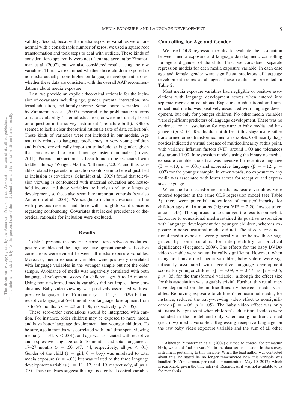validity. Second, because the media exposure variables were nonnormal with a considerable number of zeros, we used a square root transformation and took steps to deal with outliers. These kinds of considerations apparently were not taken into account by Zimmerman et al. (2007), but we also considered results using the raw variables. Third, we examined whether those children exposed to no media actually score higher on language development, to test whether these data are consistent with the overall AAP recommendations about media exposure.

Last, we provide an explicit theoretical rationale for the inclusion of covariates including age, gender, parental interaction, maternal education, and family income. Some control variables used by Zimmerman et al. (2007) appeared to be problematic in terms of data availability (paternal education) or were not clearly based on a question in the survey instrument (premature birth).<sup>1</sup> Others seemed to lack a clear theoretical rationale (site of data collection). These kinds of variables were not included in our models. Age naturally relates to language proficiency in very young children and is therefore critically important to include, as is gender, given that females tend to learn language faster than males (Lovas, 2011). Parental interaction has been found to be associated with toddler literacy (Weigel, Martin, & Bennett, 2006), and thus variables related to parental interaction would seem to be well justified as inclusion as covariates. Schmidt et al. (2009) found that television viewing is confounded with maternal education and household income, and these variables are likely to relate to language development, so these also seem like important controls (see also Anderson et al., 2001). We sought to include covariates in line with previous research and those with straightforward concerns regarding confounding. Covariates that lacked precedence or theoretical rationale for inclusion were excluded.

#### **Results**

Table 1 presents the bivariate correlations between media exposure variables and the language development variables. Positive correlations were evident between all media exposure variables. Moreover, media exposure variables were positively correlated with language variables in the younger sample but not the older sample. Avoidance of media was negatively correlated with both language development scores for children ages 6 to 16 months. Using nontransformed media variables did not impact these conclusions. Baby video viewing was positively associated with expressive language at  $6-16$  months ( $r = .11$ ,  $p = .029$ ) but not receptive language at 6 –16 months or language development from 17 to 26 months ( $rs = .03$  and .06, respectively,  $p > .05$ ).

These zero-order correlations should be interpreted with caution. For instance, older children may be exposed to more media and have better language development than younger children. To be sure, age in months was correlated with total time spent viewing media ( $r = .31$ ,  $p < .001$ ), and age was associated with receptive and expressive language at 6 –16 months and total language at 17–27 months  $(r = .60, .47, .44,$  respectively, all  $ps < .01$ ). Gender of the child  $(1 = \text{girl}, 0 = \text{boy})$  was unrelated to total media exposure  $(r = -.03)$  but was related to the three language development variables ( $r = .11, .12,$  and .19, respectively, all  $ps <$ .05). These analyses suggest that age is a critical control variable.

#### **Controlling for Age and Gender**

We used OLS regression results to evaluate the association between media exposure and language development, controlling for age and gender of the child. First, we considered separate regression models for each media exposure variable. In each case age and female gender were significant predictors of language development scores at all ages. These results are presented in Table 2.

Most media exposure variables had negligible or positive associations with language development scores when entered into separate regression equations. Exposure to educational and noneducational media was positively associated with language development, but only for younger children. No other media variables were significant predictors of language development. There was no evidence for an association for exposure to baby media and language at  $p < .05$ . Results did not differ at this stage using either transformed or nontransformed media variables. Collinearity diagnostics indicated a virtual absence of multicollinearity at this point, with variance inflation factors (VIF) around 1.00 and tolerances also around 1.00. In regression models using the binary no-mediaexposure variable, the effect was negative for receptive language ( $\beta$  = -.13, *p* = .001) and expressive language ( $\beta$  = -.12, *p* = .007) for the younger sample. In other words, no exposure to any media was associated with lower scores for receptive and expressive language.

When the four transformed media exposure variables were entered together in the same OLS regression model (see Table 3), there were potential indications of multicollinearity for children ages  $6-16$  months (highest VIF = 2.20, lowest tolerance  $= .45$ ). This approach also changed the results somewhat. Exposure to educational media retained its positive association with language development for younger children, whereas exposure to noneducational media did not. The effects for educational media exposure were generally at or below those suggested by some scholars for interpretability or practical significance (Ferguson, 2009). The effects for the baby DVDs/ video variable were not statistically significant. However, when using nontransformed media variables, baby videos were significantly associated with receptive language development scores for younger children ( $\beta$  = -.09,  $p$  = .047, vs.  $\beta$  = -.05,  $p > .05$ , for the transformed variable), although the effect size for this association was arguably trivial. Further, this result may have depended on the multicollinearity between media variables. Removing exposure to children's educational media, for instance, reduced the baby-viewing video effect to nonsignificance ( $\beta$  = -.06,  $p > .05$ ). The baby video effect was only statistically significant when children's educational videos were included in the model and only when using nontransformed (i.e., raw) media variables. Regressing receptive language on the raw baby video exposure variable and the sum of all other

<sup>&</sup>lt;sup>1</sup> Although Zimmerman et al. (2007) claimed to control for premature birth, we could find no variable in the data set or question in the survey instrument pertaining to this variable. When the lead author was contacted about this, he stated he no longer remembered how this variable was handled (F. Zimmerman, personal communication, May 10, 2012), which is reasonable given the time interval. Regardless, it was not available to us for reanalysis.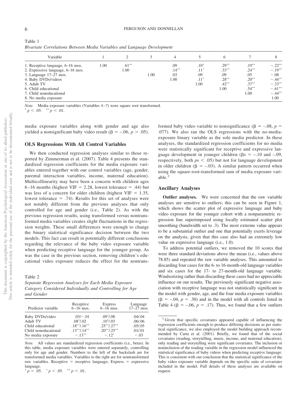| Table 1                                                                 |  |
|-------------------------------------------------------------------------|--|
| Bivariate Correlations Between Media Variables and Language Development |  |

| Variable                                                                                                                                                                                                           |      |                  |      | $\overline{4}$                 |                                            | 6                                                           |                                                                        |                                                                                            |
|--------------------------------------------------------------------------------------------------------------------------------------------------------------------------------------------------------------------|------|------------------|------|--------------------------------|--------------------------------------------|-------------------------------------------------------------|------------------------------------------------------------------------|--------------------------------------------------------------------------------------------|
| 1. Receptive language, 6–16 mos.<br>2. Expressive language, 6–16 mos.<br>3. Language $17-27$ mos.<br>4. Baby DVDs/videos<br>5. Adult TV<br>6. Child educational<br>7. Child noneducational<br>8. No media exposure | 1.00 | $.61***$<br>1.00 | 1.00 | .09<br>$.14***$<br>.03<br>1.00 | $.10^*$<br>$.11*$<br>.09<br>$.11*$<br>1.00 | $.29***$<br>$.33***$<br>.09<br>$.28***$<br>$.42***$<br>1.00 | $.19***$<br>$.24***$<br>.05<br>$.20**$<br>$.37***$<br>$.54***$<br>1.00 | $-.22**$<br>$-.19**$<br>$-.08$<br>$-.44***$<br>$-.33***$<br>$-.61***$<br>$-.44***$<br>1.00 |

*Note.* Media exposure variables (Variables 4–7) were square root transformed.  $p < .05$ .  $\binom{p}{p} < .01$ .

media exposure variables along with gender and age also yielded a nonsignificant baby video result ( $\beta = -0.06$ ,  $p > 0.05$ ).

#### **OLS Regressions With All Control Variables**

We then conducted regression analyses similar to those reported by Zimmerman et al. (2007). Table 4 presents the standardized regression coefficients for the media exposure variables entered together with our control variables (age, gender, parental interaction variables, income, maternal education). Multicollinearity may have been a concern with children ages 6-16 months (highest VIF = 2.28, lowest tolerance = .44) but was less of a concern for older children (highest  $VIF = 1.35$ , lowest tolerance  $= .74$ ). Results for this set of analyses were not notably different from the previous analyses that only controlled for age and gender (i.e., Table 2). As with the previous regression results, using transformed versus nontransformed media variables creates slight fluctuations in the regression weights. These small differences were enough to change the binary statistical significance decision between the two models. This fact can result in potentially different conclusions regarding the relevance of the baby video exposure variable when predicting receptive language for the younger group. As was the case in the previous section, removing children's educational video exposure reduces the effect for the nontrans-

Table 2

*Separate Regression Analyses for Each Media Exposure Category Considered Individually and Controlling for Age and Gender*

| Predictor variable   | Receptive        | <b>Express</b>          | Language       |
|----------------------|------------------|-------------------------|----------------|
|                      | $6-16$ mos.      | $6-16$ mos.             | $17 - 27$ mos. |
| Baby DVDs/video      | $.03/- .01$      | $.09^{+} / .08$         | .04/0.04       |
| Adult TV             | $.08^{\ast}/.02$ | $.10^{\ast}/.03$        | .06/0.06       |
| Child educational    | $.18**/0.16**$   | $.25***/0.27***$        | .05/0.05       |
| Child noneducational | $.13**/0.14**$   | $.20^{**}$ $/0.25^{**}$ | .01/01         |
| No media exposure    | $-.13***$        | $-.12$ <sup>*</sup>     | $-.03$         |

*Note.* All values are standardized regression coefficients (i.e., betas). In this table, media exposure variables were entered separately, controlling only for age and gender. Numbers to the left of the backslash are for transformed media variables. Variables to the right are for nontransformed raw variables. Receptive  $=$  receptive language; Express  $=$  expressive language.

$$
\tau_p = .05.
$$
  $\tau_p < .05.$   $\tau_p < .01.$ 

formed baby video variable to nonsignificance ( $\beta = -.08$ ,  $p =$ .077). We also ran the OLS regressions with the no-mediaexposure binary variable as the sole media predictor. In these analyses, the standardized regression coefficients for no media were statistically significant for receptive and expressive language development in younger children ( $\beta$ s = -.10 and -.09, respectively, both  $p_s < .05$ ) but not for language development in older children ( $\beta = -.03$ ). A similar pattern occurred when using the square-root-transformed sum of media exposure variable.<sup>2</sup>

#### **Ancillary Analyses**

**Outlier analyses.** We were concerned that the raw variable analyses are sensitive to outliers; this can be seen in Figure 1, which shows the scatter plot of expressive language and baby video exposure for the younger cohort with a nonparametric regression line superimposed using locally estimated scatter plot smoothing (bandwidth set to .3). The most extreme value appears to be a substantial outlier and one that potentially exerts leverage on the analysis, given that this case also had an extremely low value on expressive language (i.e., 1.0).

To address potential outliers, we removed the 10 scores that were three standard deviations above the mean (i.e., values above 78.85) and repeated the raw variable analyses. This amounted to discarding four cases for the 6- to 16-month-old language variables and six cases for the 17- to 27-month-old language variable. Windsorizing rather than discarding these cases had no appreciable influence on our results. The previously significant negative association with receptive language was not statistically significant in the model with gender, age, and the four media exposure variables  $(\beta = -.04, p = .30)$  and in the model with all controls listed in Table 4 ( $\beta$  = -.06,  $p = .17$ ). Thus, we found that a few outliers

<sup>&</sup>lt;sup>2</sup> Given that specific covariates appeared capable of influencing the regression coefficients enough to produce differing decisions as per statistical significance, we also employed the model building approach recommended by Carta et al. (2001). Briefly, we found that of the social covariates (reading, storytelling, music, income, and maternal education), only reading and storytelling were significant covariates. The inclusion or noninclusion of the reading variable in the regression model influenced the statistical significance of baby videos when predicting receptive language. This is consistent with our conclusion that the statistical significance of the baby video exposure variable depends on the specific suite of covariates included in the model. Full details of these analyses are available on request.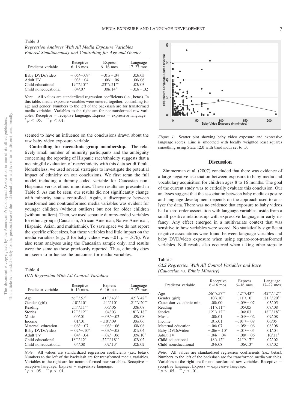| Table 3                                                   |  |
|-----------------------------------------------------------|--|
| Regression Analyses With All Media Exposure Variables     |  |
| Entered Simultaneously and Controlling for Age and Gender |  |

| Predictor variable   | Receptive      | <b>Express</b> | Language     |
|----------------------|----------------|----------------|--------------|
|                      | $6-16$ mos.    | $6-16$ mos.    | $17-27$ mos. |
| Baby DVDs/video      | $-.05/-.09*$   | $-.01/-.04$    | .03/03       |
| Adult TV             | $-.03/-.04$    | $-.06/-06$     | .06/0.06     |
| Child educational    | $.19**/0.15**$ | $.23**/0.21**$ | .03/03       |
| Child noneducational | .04/.07        | $.08/0.14*$    | $-.03/-.02$  |

*Note.* All values are standardized regression coefficients (i.e., betas). In this table, media exposure variables were entered together, controlling for age and gender. Numbers to the left of the backslash are for transformed media variables. Variables to the right are for nontransformed raw variables. Receptive = receptive language; Express = expressive language.  $\binom{p}{k}$   $p$  < .05.  $\binom{p}{k}$   $p$  < .01.

seemed to have an influence on the conclusions drawn about the raw baby video exposure variable.

**Controlling for race/ethnic group membership.** The relatively small number of minority participants and the ambiguity concerning the reporting of Hispanic race/ethnicity suggests that a meaningful evaluation of race/ethnicity with this data set difficult. Nonetheless, we used several strategies to investigate the potential impact of ethnicity on our conclusions. We first reran the full model including a dummy-coded variable for Caucasian non-Hispanics versus ethnic minorities. These results are presented in Table 5. As can be seen, our results did not significantly change with minority status controlled. Again, a discrepancy between transformed and nontransformed media variables was evident for younger children (without outliers) but not for older children (without outliers). Then, we used separate dummy-coded variables for ethnic groups (Caucasian, African American, Native American, Hispanic, Asian, and multiethnic). To save space we do not report the specific effect sizes, but these variables had little impact on the media variables (e.g.,  $\beta$  for baby videos was -.01,  $p = .876$ ). We also reran analyses using the Caucasian sample only, and results were the same as those previously reported. Thus, ethnicity does not seem to influence the outcomes for media variables.

Table 4 *OLS Regression With All Control Variables*

| Predictor variable   | Receptive<br>$6-16$ mos.  | <b>Express</b><br>$6 - 16$ mos. | Language<br>$17 - 27$ mos. |
|----------------------|---------------------------|---------------------------------|----------------------------|
| Age                  | $.56^{**}/.57^{**}$       | $.41**/0.43**$                  | $.42**/.42**$              |
| Gender (girl)        | $.10^{\circ}/.10^{\circ}$ | $.11^{\ast}/.10^{\ast}$         | $.21**/.20**$              |
| Reading              | $.11^*/.11^{**}$          | .06/0.06                        | .08/.08                    |
| <b>Stories</b>       | $.12**/.12**$             | .04/0.03                        | $.18**/0.18**$             |
| Music                | .00/01                    | $-.03/-.02$                     | .09/.08                    |
| Income               | .01/01                    | $-.10^{*}/.09$                  | .06/0.06                   |
| Maternal education   | $-.06/-.07$               | $-.06/-.06$                     | .08/.08                    |
| Baby DVDs/video      | $-.07/-.10*$              | $-.03/-.05$                     | .01/0.04                   |
| Adult TV             | $-.04/-.04$               | $-.07/-.06$                     | $.09/0.10*$                |
| Child educational    | $.18**/0.12*$             | $.22^{**}/.18^{**}$             | .02/0.02                   |
| Child noneducational | .04/0.08                  | $.07/0.13*$                     | .02/0.02                   |

*Note.* All values are standardized regression coefficients (i.e., betas). Numbers to the left of the backslash are for transformed media variables. Variables to the right are for nontransformed raw variables. Receptive receptive language; Express = expressive language.  $p < .05$ .  $p < .01$ .



*Figure 1.* Scatter plot showing baby video exposure and expressive language scores. Line is smoothed with locally weighted least squares smoothing using Stata 12.0 with bandwidth set to .3.

#### **Discussion**

Zimmerman et al. (2007) concluded that there was evidence of a large negative association between exposure to baby media and vocabulary acquisition for children ages 8 to 16 months. The goal of the current study was to critically evaluate this conclusion. Our analyses suggest that the association between baby media exposure and language development depends on the approach used to analyze the data. There was no evidence that exposure to baby videos had a zero-order association with language variables, aside from a small positive relationship with expressive language in early infancy. Any effect emerged in a multivariate context that was sensitive to how variables were scored. No statistically significant negative associations were found between language variables and baby DVD/video exposure when using square-root-transformed variables. Null results also occurred when taking other steps to

Table 5

*OLS Regression With All Control Variables and Race (Caucasian vs. Ethnic Minority)*

| Predictor variable        | Receptive<br>$6 - 16$ mos. | <b>Express</b><br>$6 - 16$ mos. | Language<br>$17 - 27$ mos. |
|---------------------------|----------------------------|---------------------------------|----------------------------|
| Age                       | $.56^{**}/.57^{**}$        | $.42**/.43**$                   | $.42**/.42**$              |
| Gender (girl)             | $.10^{\ast}/.10^{\ast}$    | $.11^{\ast}/.10^{\ast}$         | $.21$ **/.20**             |
| Caucasian vs. ethnic min. | .00/00                     | $-.09/-.07$                     | .05/0.05                   |
| Reading                   | $.11^*/.11^{**}$           | .05/0.05                        | .07/.08                    |
| <b>Stories</b>            | $.12**/.12**$              | .04/0.03                        | $.18**/0.18**$             |
| Music                     | .00/01                     | $-.04/-.02$                     | .09/08                     |
| Income                    | .01/01                     | $-.10^{\frac{1}{7}}$ $-.09$     | .06/05                     |
| Maternal education        | $-.06/0.07$                | $-.05/-.06$                     | .08/.08                    |
| Baby DVDs/video           | $-.06/-.10*$               | $-.01/-.05$                     | .01/0.04                   |
| <b>Adult TV</b>           | $-.04/-.04$                | $-.08/-.06$                     | $.10/.11*$                 |
| Child educational         | $.18^{\ast}/.12^{\ast}$    | $.21**/.17**$                   | .02/0.02                   |
| Child noneducational      | .04/0.08                   | $.06/0.13*$                     | .03/.02                    |

*Note.* All values are standardized regression coefficients (i.e., betas). Numbers to the left of the backslash are for transformed media variables. Variables to the right are for nontransformed raw variables. Receptive receptive language; Express = expressive language.  $p < .05$ .  $p < .01$ .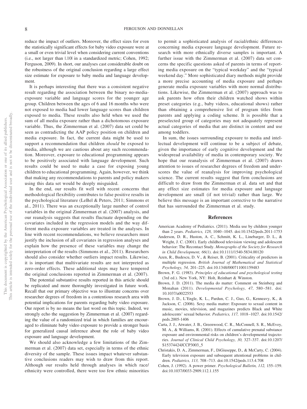reduce the impact of outliers. Moreover, the effect sizes for even the statistically significant effects for baby video exposure were at a small or even trivial level when considering current conventions (i.e., not larger than |.10| in a standardized metric; Cohen, 1992; Ferguson, 2009). In short, our analyses cast considerable doubt on the robustness of the original conclusion regarding a large effect size estimate for exposure to baby media and language development.

It is perhaps interesting that there was a consistent negative result regarding the association between the binary no-mediaexposure variable and language scores for the younger age group. Children between the ages of 6 and 16 months who were not exposed to media had lower language scores than children exposed to media. These results also held when we used the sum of all media exposure rather than a dichotomous exposure variable. Thus, the Zimmerman et al. (2007) data set could be seen as contradicting the AAP policy position on children and media exposure. In fact, the current data might be used to support a recommendation that children *should* be exposed to media, although we are cautious about any such recommendation. Moreover, exposure to educational programming appears to be positively associated with language development. Such results could be used to make a case for exposing young children to educational programming. Again, however, we think that making any recommendations to parents and policy makers using this data set would be deeply misguided.

In the end, our results fit well with recent concerns that methodological flexibility contributes to false positive results in the psychological literature (LeBel & Peters, 2011; Simmons et al., 2011). There was an exceptionally large number of control variables in the original Zimmerman et al. (2007) analysis, and our reanalysis suggests that results fluctuate depending on the covariates included in the regression models and the way different media exposure variables are treated in the analyses. In line with recent recommendations, we believe researchers must justify the inclusion of all covariates in regression analyses and explain how the presence of these variables may change the interpretation of the results (Simmons et al., 2011). Researchers should also consider whether outliers impact results. Likewise, it is important that multivariate results are not interpreted as zero-order effects. These additional steps may have tempered the original conclusions reported in Zimmerman et al. (2007).

The potential substantive results reported in this article should be replicated and more thoroughly investigated in future work. Recall that our primary objective was to illustrate concerns over researcher degrees of freedom in a contentious research area with potential implications for parents regarding baby video exposure. Our report is by no means the last word on this topic. Indeed, we strongly echo the suggestion by Zimmerman et al. (2007) regarding the value of a randomized trial in which families are encouraged to eliminate baby video exposure to provide a stronger basis for generalized causal inference about the role of baby video exposure and language development.

We should also acknowledge a few limitations of the Zimmerman et al. (2007) data set, especially in terms of the ethnic diversity of the sample. These issues impact whatever substantive conclusions readers may wish to draw from this report. Although our results held through analyses in which race/ ethnicity were controlled, there were too few ethnic minorities to permit a sophisticated analysis of racial/ethnic differences concerning media exposure language development. Future research with more ethnically diverse samples is important. A further issue with the Zimmerman et al. (2007) data set concerns the specific questions asked of parents in terms of reporting media exposure on the "typical weekday" and the "typical weekend day." More sophisticated diary methods might provide a more precise accounting of media exposure and perhaps generate media exposure variables with more normal distributions. Likewise, the Zimmerman et al. (2007) approach was to ask parents how often their children watched shows within preset categories (e.g., baby videos, educational shows) rather than obtaining a comprehensive list of program titles from parents and applying a coding scheme. It is possible that a preselected group of categories may not adequately represent actual categories of media that are distinct in content and use among toddlers.

In sum, the issues surrounding exposure to media and intellectual development will continue to be a subject of debate, given the importance of early cognitive development and the widespread availability of media in contemporary society. We hope that our reanalysis of Zimmerman et al. (2007) draws attention to issues of researcher degrees of freedom and underscores the value of reanalysis for improving psychological science. The current results suggest that firm conclusions are difficult to draw from the Zimmerman et al. data set and that any effect size estimates for media exposure and language development are small (if not trivial) rather than large. We believe this message is an important corrective to the narrative that has surrounded the Zimmerman et al. study.

#### **References**

- American Academy of Pediatrics. (2011). Media use by children younger than 2 years. *Pediatrics, 128,* 1040 –1045. doi:10.1542/peds.2011-1753
- Anderson, D. R., Huston, A. C., Schmitt, K. L., Linebarger, D. L., & Wright, J. C. (2001). Early childhood television viewing and adolescent behavior: The Recontact Study. *Monographs of the Society for Research in Child Development, 66*(1). doi:10.1111/1540-5834.00120
- Azen, R., Budescu, D. V., & Reiser, B. (2001). Criticality of predictors in multiple regression. *British Journal of Mathematical and Statistical Psychology, 54,* 201–225. doi:10.1348/000711001159483
- Brown, F. G. (1983). *Principles of educational and psychological testing* (3rd ed.). New York, NY: Holt, Reinhart & Winston.
- Brown, J. D. (2011). The media do matter: Comment on Steinberg and Monahan (2011). *Developmental Psychology, 47,* 580 –581. doi: 10.1037/a0022553
- Brown, J. D., L'Engle, K. L., Pardun, C. J., Guo, G., Kenneavy, K., & Jackson, C. (2006). Sexy media matter: Exposure to sexual content in music, movies, television, and magazines predicts Black and White adolescents' sexual behavior. *Pediatrics, 117,* 1018 –1027. doi:10.1542/ peds.2005-1406
- Carta, J. J., Atwater, J. B., Greenwood, C. R., McConnell, S. R., McEvoy, M. A., & Williams, R. (2001). Effects of cumulative prenatal substance exposure and environmental risks on children's developmental trajectories. *Journal of Clinical Child Psychology, 30,* 327–337. doi:10.1207/ S15374424JCCP3003\_5
- Christakis, D. A., Zimmerman, F., DiGiuseppe, D., & McCarty, C. (2004). Early television exposure and subsequent attentional problems in children. *Pediatrics, 113,* 708 –713. doi:10.1542/peds.113.4.708
- Cohen, J. (1992). A power primer. *Psychological Bulletin, 112,* 155–159. doi:10.1037/0033-2909.112.1.155